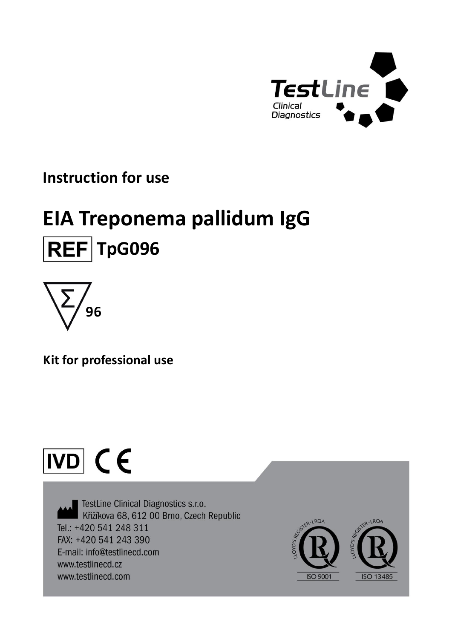

### **Instruction for use**

## **EIA Treponema pallidum IgG REF** TpG096



**Kit for professional use**

# $\overline{ND}$  (E

TestLine Clinical Diagnostics s.r.o. Křižíkova 68, 612 00 Brno, Czech Republic Tel.: +420 541 248 311 FAX: +420 541 243 390 E-mail: info@testlinecd.com www.testlinecd.cz www.testlinecd.com

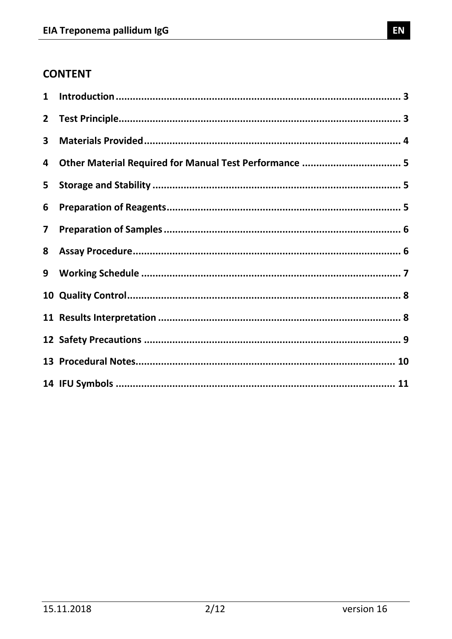### **CONTENT**

| $\mathbf{1}$            |                                                        |  |
|-------------------------|--------------------------------------------------------|--|
| $\overline{2}$          |                                                        |  |
| 3                       |                                                        |  |
| 4                       | Other Material Required for Manual Test Performance  5 |  |
| 5                       |                                                        |  |
| 6                       |                                                        |  |
| $\overline{\mathbf{z}}$ |                                                        |  |
| 8                       |                                                        |  |
| 9                       |                                                        |  |
|                         |                                                        |  |
|                         |                                                        |  |
|                         |                                                        |  |
|                         |                                                        |  |
|                         |                                                        |  |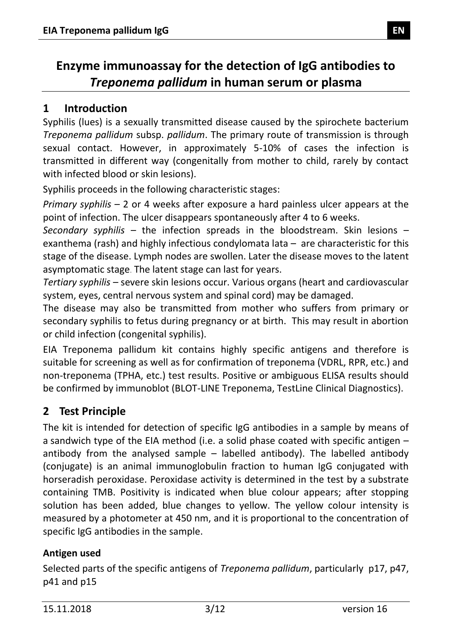### **Enzyme immunoassay for the detection of IgG antibodies to**  *Treponema pallidum* **in human serum or plasma**

### <span id="page-2-0"></span>**1 Introduction**

Syphilis (lues) is a sexually transmitted disease caused by the spirochete bacterium *Treponema pallidum* subsp. *pallidum*. The primary route of transmission is through [sexual contact.](http://en.wikipedia.org/wiki/Human_sexual_activity) However, in approximately 5-10% of cases the infection is transmitted in different way (congenitally from mother to child, rarely by contact with infected blood or skin lesions).

Syphilis proceeds in the following characteristic stages:

*Primary syphilis* – 2 or 4 weeks after exposure a hard painless ulcer appears at the point of infection. The ulcer disappears spontaneously after 4 to 6 weeks.

*Secondary syphilis* – the infection spreads in the bloodstream. Skin lesions – exanthema (rash) and highly infectious condylomata lata – are characteristic for this stage of the disease. Lymph nodes are swollen. Later the disease moves to the latent asymptomatic stage. The latent stage can last for years.

*Tertiary syphilis* – severe skin lesions occur. Various organs (heart and cardiovascular system, eyes, central nervous system and spinal cord) may be damaged.

The disease may also be transmitted from mother who suffers from primary or secondary syphilis to fetus during pregnancy or at birth. This may result in abortion or child infection [\(congenital syphilis\)](http://en.wikipedia.org/wiki/Congenital_syphilis).

EIA Treponema pallidum kit contains highly specific antigens and therefore is suitable for screening as well as for confirmation of treponema (VDRL, RPR, etc.) and non-treponema (TPHA, etc.) test results. Positive or ambiguous ELISA results should be confirmed by immunoblot (BLOT-LINE Treponema, TestLine Clinical Diagnostics).

### <span id="page-2-1"></span>**2 Test Principle**

The kit is intended for detection of specific IgG antibodies in a sample by means of a sandwich type of the EIA method (i.e. a solid phase coated with specific antigen – antibody from the analysed sample  $-$  labelled antibody). The labelled antibody (conjugate) is an animal immunoglobulin fraction to human IgG conjugated with horseradish peroxidase. Peroxidase activity is determined in the test by a substrate containing TMB. Positivity is indicated when blue colour appears; after stopping solution has been added, blue changes to yellow. The yellow colour intensity is measured by a photometer at 450 nm, and it is proportional to the concentration of specific IgG antibodies in the sample.

### **Antigen used**

Selected parts of the specific antigens of *Treponema pallidum*, particularly p17, p47, p41 and p15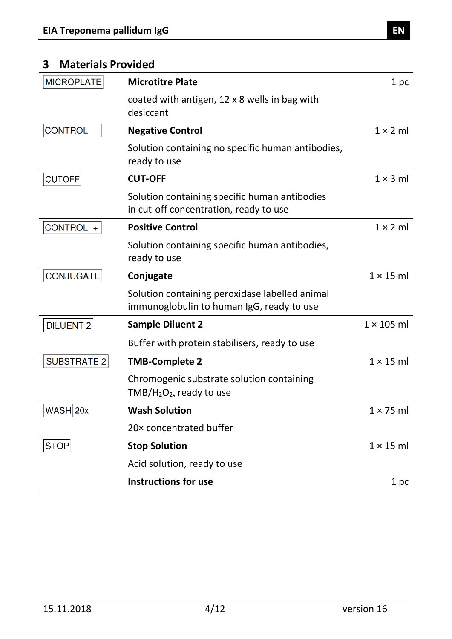### <span id="page-3-0"></span>**3 Materials Provided**

<span id="page-3-1"></span>

| <b>MICROPLATE</b>     | <b>Microtitre Plate</b>                                                                     | 1 pc              |
|-----------------------|---------------------------------------------------------------------------------------------|-------------------|
|                       | coated with antigen, 12 x 8 wells in bag with<br>desiccant                                  |                   |
| CONTROL               | <b>Negative Control</b>                                                                     | $1 \times 2$ ml   |
|                       | Solution containing no specific human antibodies,<br>ready to use                           |                   |
| <b>CUTOFF</b>         | <b>CUT-OFF</b>                                                                              | $1 \times 3$ ml   |
|                       | Solution containing specific human antibodies<br>in cut-off concentration, ready to use     |                   |
| <b>CONTROL</b><br>$+$ | <b>Positive Control</b>                                                                     | $1 \times 2$ ml   |
|                       | Solution containing specific human antibodies,<br>ready to use                              |                   |
| CONJUGATE             | Conjugate                                                                                   | $1 \times 15$ ml  |
|                       | Solution containing peroxidase labelled animal<br>immunoglobulin to human IgG, ready to use |                   |
| <b>DILUENT 2</b>      | <b>Sample Diluent 2</b>                                                                     | $1 \times 105$ ml |
|                       | Buffer with protein stabilisers, ready to use                                               |                   |
| <b>SUBSTRATE 2</b>    | <b>TMB-Complete 2</b>                                                                       | $1 \times 15$ ml  |
|                       | Chromogenic substrate solution containing<br>$TMB/H2O2$ , ready to use                      |                   |
| $WASH$ 20x            | <b>Wash Solution</b>                                                                        | $1 \times 75$ ml  |
|                       | 20x concentrated buffer                                                                     |                   |
| STOP                  | <b>Stop Solution</b>                                                                        | $1 \times 15$ ml  |
|                       | Acid solution, ready to use                                                                 |                   |
|                       | <b>Instructions for use</b>                                                                 | 1 pc              |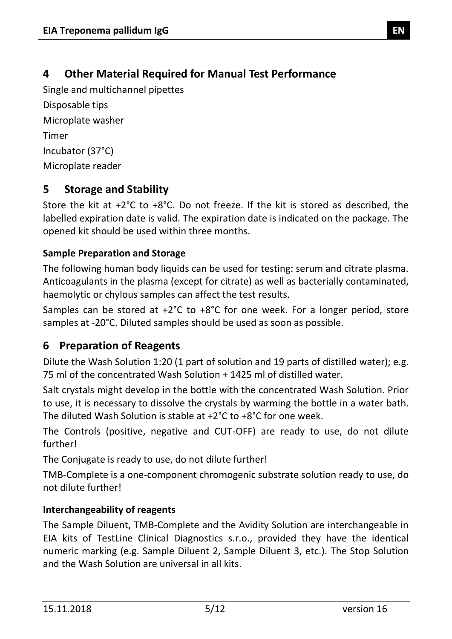### **4 Other Material Required for Manual Test Performance**

Single and multichannel pipettes Disposable tips Microplate washer Timer Incubator (37°C) Microplate reader

### <span id="page-4-0"></span>**5 Storage and Stability**

Store the kit at +2°C to +8°C. Do not freeze. If the kit is stored as described, the labelled expiration date is valid. The expiration date is indicated on the package. The opened kit should be used within three months.

### **Sample Preparation and Storage**

The following human body liquids can be used for testing: serum and citrate plasma. Anticoagulants in the plasma (except for citrate) as well as bacterially contaminated, haemolytic or chylous samples can affect the test results.

Samples can be stored at +2°C to +8°C for one week. For a longer period, store samples at -20°C. Diluted samples should be used as soon as possible.

### <span id="page-4-1"></span>**6 Preparation of Reagents**

Dilute the Wash Solution 1:20 (1 part of solution and 19 parts of distilled water); e.g. 75 ml of the concentrated Wash Solution + 1425 ml of distilled water.

Salt crystals might develop in the bottle with the concentrated Wash Solution. Prior to use, it is necessary to dissolve the crystals by warming the bottle in a water bath. The diluted Wash Solution is stable at +2°C to +8°C for one week.

The Controls (positive, negative and CUT-OFF) are ready to use, do not dilute further!

The Conjugate is ready to use, do not dilute further!

TMB-Complete is a one-component chromogenic substrate solution ready to use, do not dilute further!

### **Interchangeability of reagents**

The Sample Diluent, TMB-Complete and the Avidity Solution are interchangeable in EIA kits of TestLine Clinical Diagnostics s.r.o., provided they have the identical numeric marking (e.g. Sample Diluent 2, Sample Diluent 3, etc.). The Stop Solution and the Wash Solution are universal in all kits.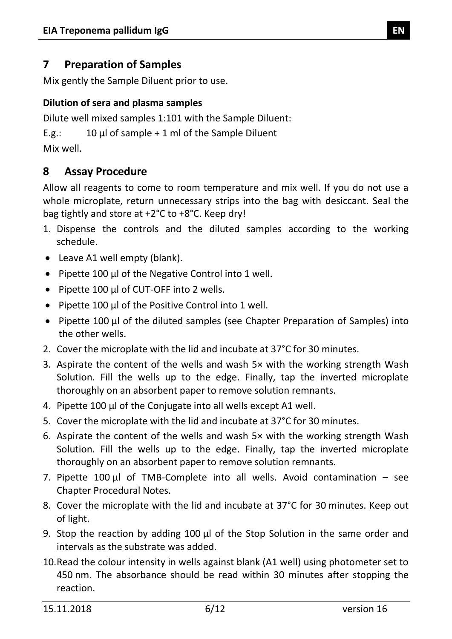### <span id="page-5-0"></span>**7 Preparation of Samples**

Mix gently the Sample Diluent prior to use.

### **Dilution of sera and plasma samples**

Dilute well mixed samples 1:101 with the Sample Diluent:

E.g.:  $10 \mu l$  of sample + 1 ml of the Sample Diluent Mix well.

### <span id="page-5-1"></span>**8 Assay Procedure**

Allow all reagents to come to room temperature and mix well. If you do not use a whole microplate, return unnecessary strips into the bag with desiccant. Seal the bag tightly and store at +2°C to +8°C. Keep dry!

- 1. Dispense the controls and the diluted samples according to the working schedule.
- Leave A1 well empty (blank).
- Pipette 100 µl of the Negative Control into 1 well.
- Pipette 100 µl of CUT-OFF into 2 wells.
- Pipette 100 µl of the Positive Control into 1 well.
- Pipette 100 µl of the diluted samples (see Chapter Preparation of Samples) into the other wells.
- 2. Cover the microplate with the lid and incubate at 37°C for 30 minutes.
- 3. Aspirate the content of the wells and wash 5× with the working strength Wash Solution. Fill the wells up to the edge. Finally, tap the inverted microplate thoroughly on an absorbent paper to remove solution remnants.
- 4. Pipette 100 µl of the Conjugate into all wells except A1 well.
- 5. Cover the microplate with the lid and incubate at 37°C for 30 minutes.
- 6. Aspirate the content of the wells and wash 5× with the working strength Wash Solution. Fill the wells up to the edge. Finally, tap the inverted microplate thoroughly on an absorbent paper to remove solution remnants.
- 7. Pipette  $100 \mu l$  of TMB-Complete into all wells. Avoid contamination see Chapter Procedural Notes.
- 8. Cover the microplate with the lid and incubate at 37°C for 30 minutes. Keep out of light.
- 9. Stop the reaction by adding 100 µl of the Stop Solution in the same order and intervals as the substrate was added.
- 10.Read the colour intensity in wells against blank (A1 well) using photometer set to 450 nm. The absorbance should be read within 30 minutes after stopping the reaction.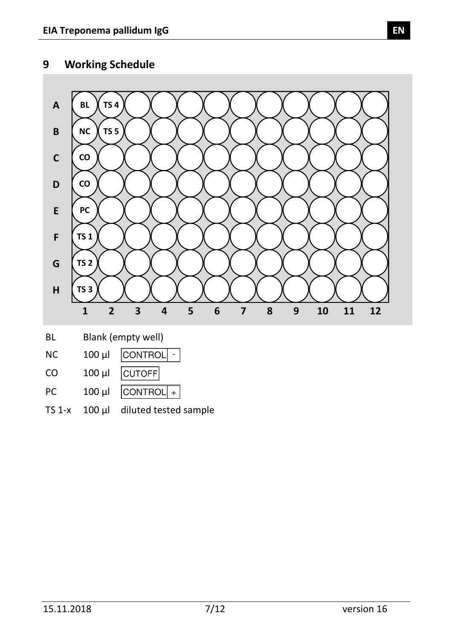### <span id="page-6-0"></span>**9 Working Schedule**



| BL        |             | Blank (empty well)          |
|-----------|-------------|-----------------------------|
| <b>NC</b> |             | $100 \mu$   $\vert$ CONTROL |
| CO        | $100 \mu l$ | CUTOFF                      |
| PC.       | $100 \mu$   | $ $ CONTROL $ $ +           |

<span id="page-6-1"></span>TS 1-x 100 µl diluted tested sample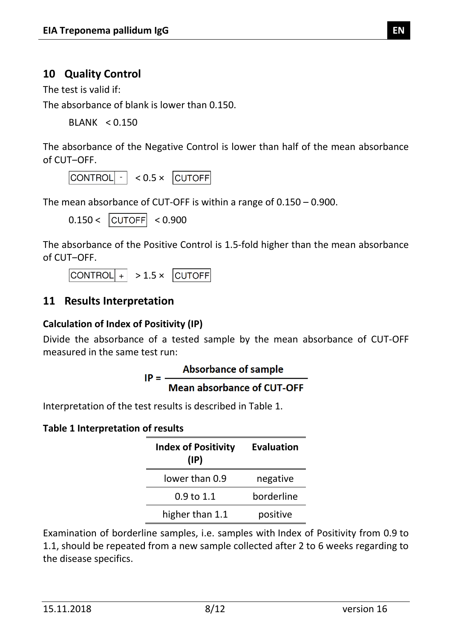### **10 Quality Control**

The test is valid if:

The absorbance of blank is lower than 0.150.

BLANK < 0.150

The absorbance of the Negative Control is lower than half of the mean absorbance of CUT-OFF.

 $\boxed{\text{CONTROL} \cdot } \times 0.5 \times \boxed{\text{CUTOFF}}$ 

The mean absorbance of CUT-OFF is within a range of 0.150 – 0.900.

 $0.150 < |CUTOFF| < 0.900$ 

The absorbance of the Positive Control is 1.5-fold higher than the mean absorbance of CUT-OFF.

 $\text{CONTROL}$  + > 1.5 × CUTOFF

### <span id="page-7-0"></span>**11 Results Interpretation**

### **Calculation of Index of Positivity (IP)**

Divide the absorbance of a tested sample by the mean absorbance of CUT-OFF measured in the same test run:

$$
IP = \frac{Absorbance of sample}{Mean absorbance of CUT-OFF}
$$

Interpretation of the test results is described in [Table 1.](#page-7-1)

### <span id="page-7-1"></span>**Table 1 Interpretation of results**

| <b>Index of Positivity</b><br>$(\mathsf{IP})$ | <b>Evaluation</b> |
|-----------------------------------------------|-------------------|
| lower than 0.9                                | negative          |
| $0.9 \text{ to } 1.1$                         | borderline        |
| higher than 1.1                               | positive          |

Examination of borderline samples, i.e. samples with Index of Positivity from 0.9 to 1.1, should be repeated from a new sample collected after 2 to 6 weeks regarding to the disease specifics.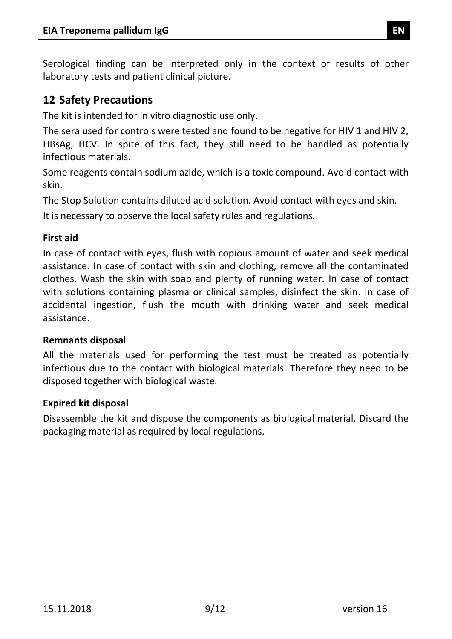Serological finding can be interpreted only in the context of results of other laboratory tests and patient clinical picture.

### <span id="page-8-0"></span>**12 Safety Precautions**

The kit is intended for in vitro diagnostic use only.

The sera used for controls were tested and found to be negative for HIV 1 and HIV 2, HBsAg, HCV. In spite of this fact, they still need to be handled as potentially infectious materials.

Some reagents contain sodium azide, which is a toxic compound. Avoid contact with skin.

The Stop Solution contains diluted acid solution. Avoid contact with eyes and skin.

It is necessary to observe the local safety rules and regulations.

### **First aid**

In case of contact with eyes, flush with copious amount of water and seek medical assistance. In case of contact with skin and clothing, remove all the contaminated clothes. Wash the skin with soap and plenty of running water. In case of contact with solutions containing plasma or clinical samples, disinfect the skin. In case of accidental ingestion, flush the mouth with drinking water and seek medical assistance.

### **Remnants disposal**

All the materials used for performing the test must be treated as potentially infectious due to the contact with biological materials. Therefore they need to be disposed together with biological waste.

#### **Expired kit disposal**

<span id="page-8-1"></span>Disassemble the kit and dispose the components as biological material. Discard the packaging material as required by local regulations.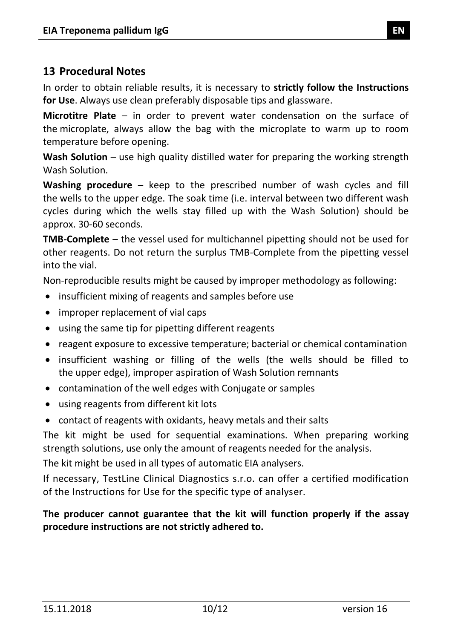### **13 Procedural Notes**

In order to obtain reliable results, it is necessary to **strictly follow the Instructions for Use**. Always use clean preferably disposable tips and glassware.

**Microtitre Plate** – in order to prevent water condensation on the surface of the microplate, always allow the bag with the microplate to warm up to room temperature before opening.

**Wash Solution** – use high quality distilled water for preparing the working strength Wash Solution.

**Washing procedure** – keep to the prescribed number of wash cycles and fill the wells to the upper edge. The soak time (i.e. interval between two different wash cycles during which the wells stay filled up with the Wash Solution) should be approx. 30-60 seconds.

**TMB-Complete** – the vessel used for multichannel pipetting should not be used for other reagents. Do not return the surplus TMB-Complete from the pipetting vessel into the vial.

Non-reproducible results might be caused by improper methodology as following:

- insufficient mixing of reagents and samples before use
- improper replacement of vial caps
- using the same tip for pipetting different reagents
- reagent exposure to excessive temperature; bacterial or chemical contamination
- insufficient washing or filling of the wells (the wells should be filled to the upper edge), improper aspiration of Wash Solution remnants
- contamination of the well edges with Conjugate or samples
- using reagents from different kit lots
- contact of reagents with oxidants, heavy metals and their salts

The kit might be used for sequential examinations. When preparing working strength solutions, use only the amount of reagents needed for the analysis.

The kit might be used in all types of automatic EIA analysers.

If necessary, TestLine Clinical Diagnostics s.r.o. can offer a certified modification of the Instructions for Use for the specific type of analyser.

### <span id="page-9-0"></span>**The producer cannot guarantee that the kit will function properly if the assay procedure instructions are not strictly adhered to.**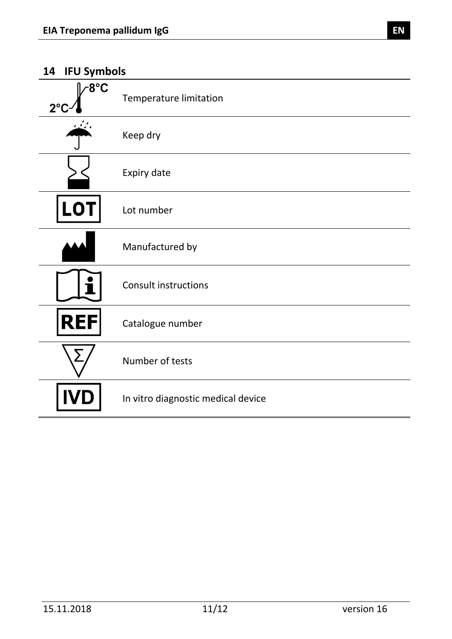### **14 IFU Symbols**

| ~8°C<br>$2^{\circ}$ | <b>Temperature limitation</b>      |
|---------------------|------------------------------------|
|                     | Keep dry                           |
|                     | Expiry date                        |
| <b>LOT</b>          | Lot number                         |
|                     | Manufactured by                    |
|                     | <b>Consult instructions</b>        |
| <b>REI</b><br>F     | Catalogue number                   |
| Σ                   | Number of tests                    |
|                     | In vitro diagnostic medical device |